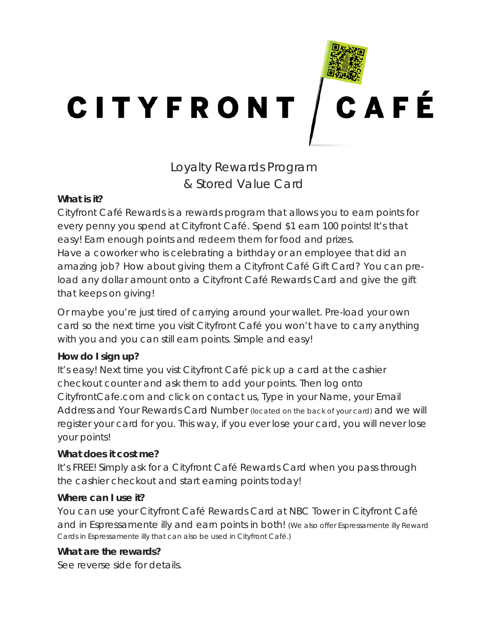

Loyalty Rewards Program & Stored Value Card

### **What is it?**

Cityfront Café Rewards is a rewards program that allows you to earn points for every penny you spend at Cityfront Café. Spend \$1 earn 100 points! It's that easy! Earn enough points and redeem them for food and prizes. Have a coworker who is celebrating a birthday or an employee that did an amazing job? How about giving them a Cityfront Café Gift Card? You can preload any dollar amount onto a Cityfront Café Rewards Card and give the gift

that keeps on giving!

Or maybe you're just tired of carrying around your wallet. Pre-load your own card so the next time you visit Cityfront Café you won't have to carry anything with you and you can still earn points. Simple and easy!

## **How do I sign up?**

It's easy! Next time you vist Cityfront Café pick up a card at the cashier checkout counter and ask them to add your points. Then log onto CityfrontCafe.com and click on contact us, Type in your Name, your Email Address and Your Rewards Card Number (located on the back of your card) and we will register your card for you. This way, if you ever lose your card, you will never lose your points!

## **What does it cost me?**

It's FREE! Simply ask for a Cityfront Café Rewards Card when you pass through the cashier checkout and start earning points today!

## **Where can I use it?**

You can use your Cityfront Café Rewards Card at NBC Tower in Cityfront Café and in Espressamente illy and earn points in both! (We also offer Espressamente illy Reward Cards in Espressamente illy that can also be used in Cityfront Café.)

## **What are the rewards?**

See reverse side for details.